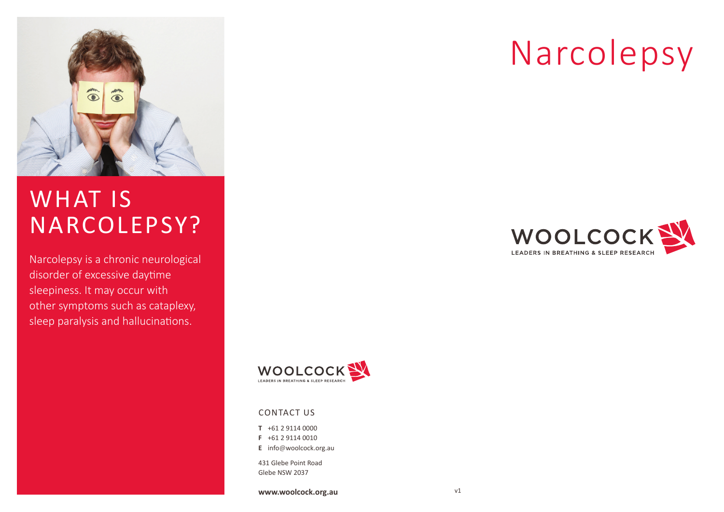

## WHAT IS NARCOLEPSY?

Narcolepsy is a chronic neurological disorder of excessive daytime sleepiness. It may occur with other symptoms such as cataplexy, sleep paralysis and hallucinations.



#### CONTACT US

**T** +61 2 9114 0000

- **F** +61 2 9114 0010
- **E** info@woolcock.org.au

431 Glebe Point Road Glebe NSW 2037

**www.woolcock.org.au**

# Narcolepsy